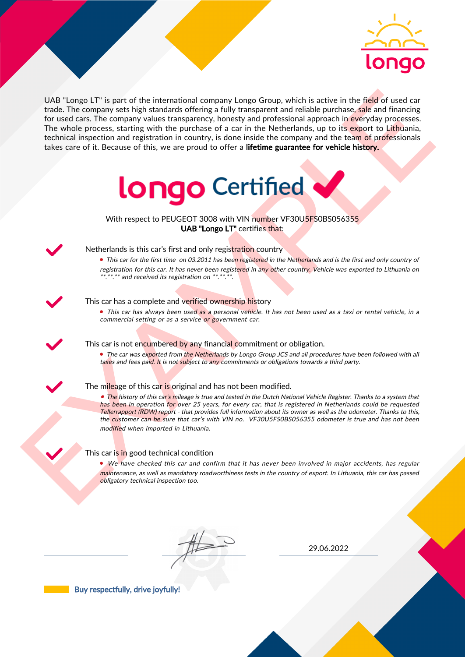

UAS "Lange LI" is part of the interactional company longe Group, which is active in the field of uast car<br>for the field of the control and the interaction between the particles are provided interactional properties. The w UAB "Longo LT" is part of the international company Longo Group, which is active in the field of used car trade. The company sets high standards offering a fully transparent and reliable purchase, sale and financing for used cars. The company values transparency, honesty and professional approach in everyday processes. The whole process, starting with the purchase of a car in the Netherlands, up to its export to Lithuania, technical inspection and registration in country, is done inside the company and the team of professionals takes care of it. Because of this, we are proud to offer a lifetime guarantee for vehicle history.



With respect to PEUGEOT 3008 with VIN number VF30U5FS0BS056355 UAB "Longo LT" certifies that:



# Netherlands is this car's first and only registration country

• This car for the first time on 03.2011 has been registered in the Netherlands and is the first and only country of registration for this car. It has never been registered in any other country. Vehicle was exported to Lithuania on \*.\*\*.\*\* and received its registration on \*\*.\*\*.\*\*.

### This car has a complete and verified ownership history

• This car has always been used as a personal vehicle. It has not been used as a taxi or rental vehicle, in a commercial setting or as a service or government car.

This car is not encumbered by any financial commitment or obligation.

• The car was exported from the Netherlands by Longo Group JCS and all procedures have been followed with all taxes and fees paid. It is not subject to any commitments or obligations towards a third party.

## The mileage of this car is original and has not been modified.

• The history of this car's mileage is true and tested in the Dutch National Vehicle Register. Thanks to a system that has been in operation for over 25 years, for every car, that is registered in Netherlands could be requested Tellerrapport (RDW) report - that provides full information about its owner as well as the odometer. Thanks to this, the customer can be sure that car's with VIN no. VF30U5FS0BS056355 odometer is true and has not been modified when imported in Lithuania.

## This car is in good technical condition

• We have checked this car and confirm that it has never been involved in major accidents, has regular maintenance, as well as mandatory roadworthiness tests in the country of export. In Lithuania, this car has passed obligatory technical inspection too.

29.06.2022

Buy respectfully, drive joyfully!